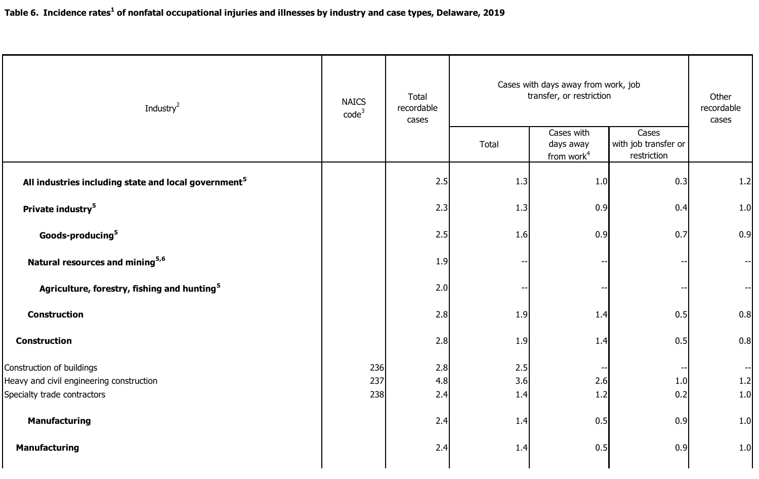| Industry <sup>2</sup>                                                   | <b>NAICS</b><br>code <sup>3</sup> | Total<br>recordable<br>cases | Cases with days away from work, job<br>transfer, or restriction | Other<br>recordable<br>cases                      |                                              |                          |
|-------------------------------------------------------------------------|-----------------------------------|------------------------------|-----------------------------------------------------------------|---------------------------------------------------|----------------------------------------------|--------------------------|
|                                                                         |                                   |                              | Total                                                           | Cases with<br>days away<br>from work <sup>4</sup> | Cases<br>with job transfer or<br>restriction |                          |
| All industries including state and local government <sup>5</sup>        |                                   | 2.5                          | 1.3                                                             | 1.0                                               | 0.3                                          | 1.2                      |
| Private industry <sup>5</sup>                                           |                                   | 2.3                          | 1.3                                                             | 0.9                                               | 0.4                                          | 1.0                      |
| Goods-producing <sup>5</sup>                                            |                                   | 2.5                          | 1.6                                                             | 0.9                                               | 0.7                                          | 0.9                      |
| Natural resources and mining <sup>5,6</sup>                             |                                   | 1.9                          |                                                                 |                                                   |                                              |                          |
| Agriculture, forestry, fishing and hunting <sup>5</sup>                 |                                   | 2.0                          |                                                                 |                                                   |                                              |                          |
| Construction                                                            |                                   | 2.8                          | 1.9                                                             | 1.4                                               | 0.5                                          | 0.8                      |
| Construction                                                            |                                   | 2.8                          | 1.9                                                             | 1.4                                               | 0.5                                          | 0.8                      |
| Construction of buildings                                               | 236                               | 2.8                          | 2.5                                                             | --                                                | --                                           | $\overline{\phantom{a}}$ |
| Heavy and civil engineering construction<br>Specialty trade contractors | 237<br>238                        | 4.8<br>2.4                   | 3.6<br>1.4                                                      | 2.6<br>1.2                                        | 1.0<br>0.2                                   | 1.2<br>1.0               |
|                                                                         |                                   |                              |                                                                 |                                                   |                                              |                          |
| Manufacturing                                                           |                                   | 2.4                          | 1.4                                                             | 0.5                                               | 0.9                                          | 1.0                      |
| Manufacturing                                                           |                                   | 2.4                          | 1.4                                                             | 0.5                                               | 0.9                                          | 1.0                      |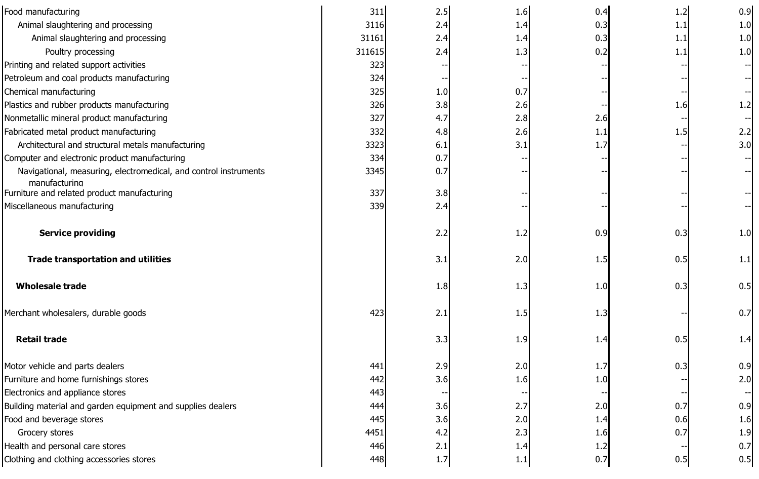| Food manufacturing                                               | 311    | 2.5 | 1.6 | 0.4 | 1.2 | 0.9 |
|------------------------------------------------------------------|--------|-----|-----|-----|-----|-----|
| Animal slaughtering and processing                               | 3116   | 2.4 | 1.4 | 0.3 | 1.1 | 1.0 |
| Animal slaughtering and processing                               | 31161  | 2.4 | 1.4 | 0.3 | 1.1 | 1.0 |
| Poultry processing                                               | 311615 | 2.4 | 1.3 | 0.2 | 1.1 | 1.0 |
| Printing and related support activities                          | 323    |     |     |     |     |     |
| Petroleum and coal products manufacturing                        | 324    |     |     |     |     |     |
| Chemical manufacturing                                           | 325    | 1.0 | 0.7 |     |     |     |
| Plastics and rubber products manufacturing                       | 326    | 3.8 | 2.6 |     | 1.6 | 1.2 |
| Nonmetallic mineral product manufacturing                        | 327    | 4.7 | 2.8 | 2.6 |     |     |
| Fabricated metal product manufacturing                           | 332    | 4.8 | 2.6 | 1.1 | 1.5 | 2.2 |
| Architectural and structural metals manufacturing                | 3323   | 6.1 | 3.1 | 1.7 |     | 3.0 |
| Computer and electronic product manufacturing                    | 334    | 0.7 |     |     |     |     |
| Navigational, measuring, electromedical, and control instruments | 3345   | 0.7 |     |     |     |     |
| manufacturing                                                    |        |     |     |     |     |     |
| Furniture and related product manufacturing                      | 337    | 3.8 |     |     |     |     |
| Miscellaneous manufacturing                                      | 339    | 2.4 |     |     |     |     |
| <b>Service providing</b>                                         |        | 2.2 | 1.2 | 0.9 | 0.3 | 1.0 |
|                                                                  |        |     |     |     |     |     |
| <b>Trade transportation and utilities</b>                        |        | 3.1 | 2.0 | 1.5 | 0.5 | 1.1 |
| <b>Wholesale trade</b>                                           |        | 1.8 | 1.3 | 1.0 | 0.3 | 0.5 |
| Merchant wholesalers, durable goods                              | 423    | 2.1 | 1.5 | 1.3 |     | 0.7 |
| <b>Retail trade</b>                                              |        | 3.3 | 1.9 | 1.4 | 0.5 | 1.4 |
| Motor vehicle and parts dealers                                  | 441    | 2.9 | 2.0 | 1.7 | 0.3 | 0.9 |
| Furniture and home furnishings stores                            | 442    | 3.6 | 1.6 | 1.0 |     | 2.0 |
| Electronics and appliance stores                                 | 443    |     |     |     |     |     |
| Building material and garden equipment and supplies dealers      | 444    | 3.6 | 2.7 | 2.0 | 0.7 | 0.9 |
| Food and beverage stores                                         | 445    | 3.6 | 2.0 | 1.4 | 0.6 | 1.6 |
| Grocery stores                                                   | 4451   | 4.2 | 2.3 | 1.6 | 0.7 | 1.9 |
| Health and personal care stores                                  | 446    | 2.1 | 1.4 | 1.2 |     | 0.7 |
| Clothing and clothing accessories stores                         | 448    | 1.7 | 1.1 | 0.7 | 0.5 | 0.5 |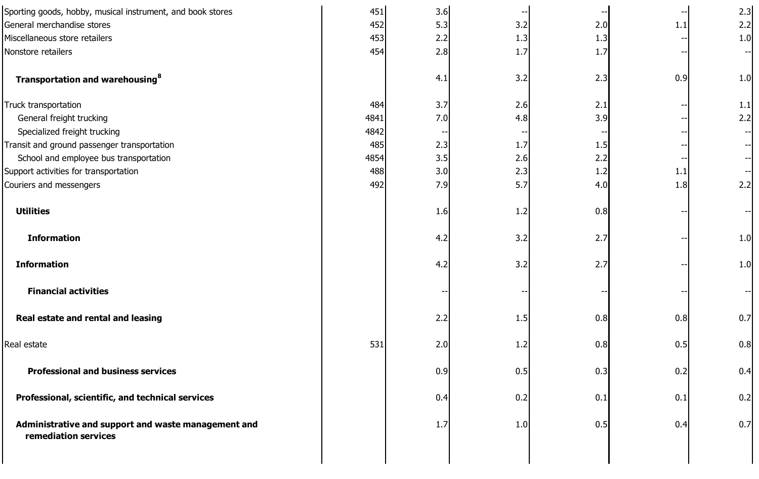| Sporting goods, hobby, musical instrument, and book stores                  | 451  | 3.6 | н,  |     |     | 2.3 |
|-----------------------------------------------------------------------------|------|-----|-----|-----|-----|-----|
| General merchandise stores                                                  | 452  | 5.3 | 3.2 | 2.0 | 1.1 | 2.2 |
| Miscellaneous store retailers                                               | 453  | 2.2 | 1.3 | 1.3 |     | 1.0 |
| Nonstore retailers                                                          | 454  | 2.8 | 1.7 | 1.7 |     |     |
| Transportation and warehousing <sup>8</sup>                                 |      | 4.1 | 3.2 | 2.3 | 0.9 | 1.0 |
| Truck transportation                                                        | 484  | 3.7 | 2.6 | 2.1 |     | 1.1 |
| General freight trucking                                                    | 4841 | 7.0 | 4.8 | 3.9 |     | 2.2 |
| Specialized freight trucking                                                | 4842 |     |     |     |     |     |
| Transit and ground passenger transportation                                 | 485  | 2.3 | 1.7 | 1.5 |     |     |
| School and employee bus transportation                                      | 4854 | 3.5 | 2.6 | 2.2 |     |     |
| Support activities for transportation                                       | 488  | 3.0 | 2.3 | 1.2 | 1.1 |     |
| Couriers and messengers                                                     | 492  | 7.9 | 5.7 | 4.0 | 1.8 | 2.2 |
| <b>Utilities</b>                                                            |      | 1.6 | 1.2 | 0.8 |     |     |
| <b>Information</b>                                                          |      | 4.2 | 3.2 | 2.7 |     | 1.0 |
| <b>Information</b>                                                          |      | 4.2 | 3.2 | 2.7 |     | 1.0 |
| <b>Financial activities</b>                                                 |      |     |     |     |     |     |
| Real estate and rental and leasing                                          |      | 2.2 | 1.5 | 0.8 | 0.8 | 0.7 |
| Real estate                                                                 | 531  | 2.0 | 1.2 | 0.8 | 0.5 | 0.8 |
| <b>Professional and business services</b>                                   |      | 0.9 | 0.5 | 0.3 | 0.2 | 0.4 |
| Professional, scientific, and technical services                            |      | 0.4 | 0.2 | 0.1 | 0.1 | 0.2 |
| Administrative and support and waste management and<br>remediation services |      | 1.7 | 1.0 | 0.5 | 0.4 | 0.7 |
|                                                                             |      |     |     |     |     |     |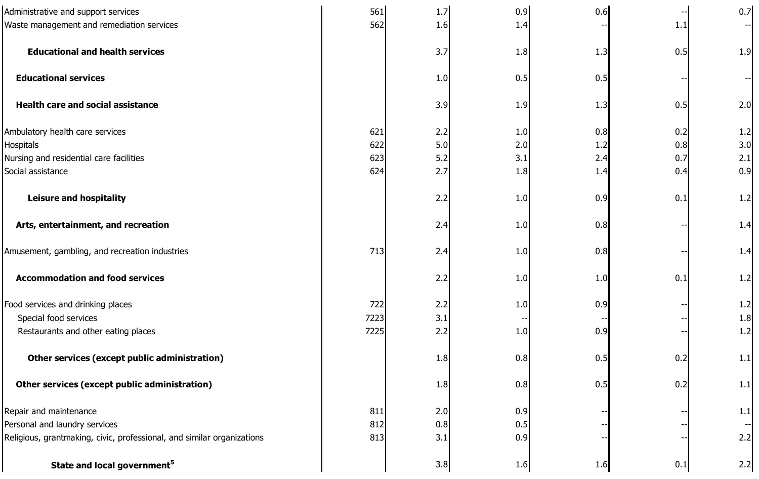| Administrative and support services                                    | 561  | 1.7 | 0.9 | 0.6 |     | 0.7 |
|------------------------------------------------------------------------|------|-----|-----|-----|-----|-----|
| Waste management and remediation services                              | 562  | 1.6 | 1.4 |     | 1.1 |     |
| <b>Educational and health services</b>                                 |      | 3.7 | 1.8 | 1.3 | 0.5 | 1.9 |
| <b>Educational services</b>                                            |      | 1.0 | 0.5 | 0.5 |     |     |
| <b>Health care and social assistance</b>                               |      | 3.9 | 1.9 | 1.3 | 0.5 | 2.0 |
| Ambulatory health care services                                        | 621  | 2.2 | 1.0 | 0.8 | 0.2 | 1.2 |
| Hospitals                                                              | 622  | 5.0 | 2.0 | 1.2 | 0.8 | 3.0 |
| Nursing and residential care facilities                                | 623  | 5.2 | 3.1 | 2.4 | 0.7 | 2.1 |
| Social assistance                                                      | 624  | 2.7 | 1.8 | 1.4 | 0.4 | 0.9 |
| <b>Leisure and hospitality</b>                                         |      | 2.2 | 1.0 | 0.9 | 0.1 | 1.2 |
| Arts, entertainment, and recreation                                    |      | 2.4 | 1.0 | 0.8 |     | 1.4 |
| Amusement, gambling, and recreation industries                         | 713  | 2.4 | 1.0 | 0.8 |     | 1.4 |
| <b>Accommodation and food services</b>                                 |      | 2.2 | 1.0 | 1.0 | 0.1 | 1.2 |
| Food services and drinking places                                      | 722  | 2.2 | 1.0 | 0.9 |     | 1.2 |
| Special food services                                                  | 7223 | 3.1 |     |     |     | 1.8 |
| Restaurants and other eating places                                    | 7225 | 2.2 | 1.0 | 0.9 |     | 1.2 |
| Other services (except public administration)                          |      | 1.8 | 0.8 | 0.5 | 0.2 | 1.1 |
| Other services (except public administration)                          |      | 1.8 | 0.8 | 0.5 | 0.2 | 1.1 |
| Repair and maintenance                                                 | 811  | 2.0 | 0.9 |     |     | 1.1 |
| Personal and laundry services                                          | 812  | 0.8 | 0.5 |     |     |     |
| Religious, grantmaking, civic, professional, and similar organizations | 813  | 3.1 | 0.9 |     |     | 2.2 |
| State and local government <sup>5</sup>                                |      | 3.8 | 1.6 | 1.6 | 0.1 | 2.2 |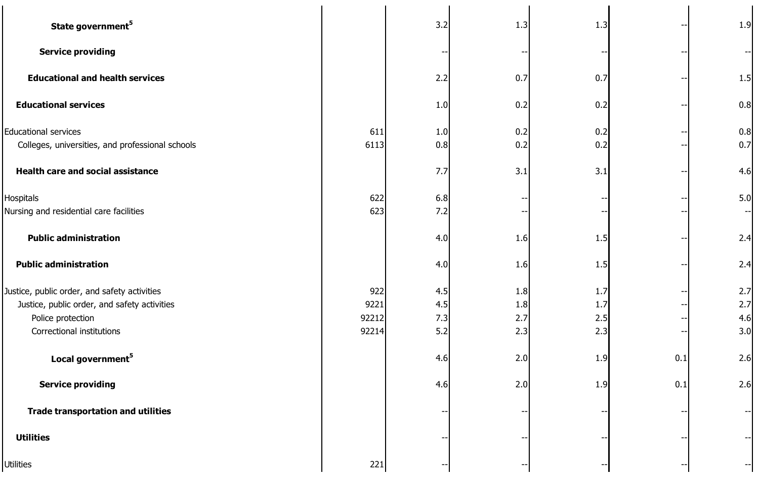| State government <sup>5</sup>                                                                                                                  |                               | 3.2                      | 1.3                      | 1.3                      |     | 1.9                      |
|------------------------------------------------------------------------------------------------------------------------------------------------|-------------------------------|--------------------------|--------------------------|--------------------------|-----|--------------------------|
| <b>Service providing</b>                                                                                                                       |                               |                          |                          |                          |     |                          |
| <b>Educational and health services</b>                                                                                                         |                               | 2.2                      | 0.7                      | 0.7                      |     | 1.5                      |
| <b>Educational services</b>                                                                                                                    |                               | 1.0                      | 0.2                      | 0.2                      |     | 0.8                      |
| <b>Educational services</b><br>Colleges, universities, and professional schools                                                                | 611<br>6113                   | 1.0<br>0.8               | 0.2<br>0.2               | 0.2<br>0.2               |     | 0.8<br>0.7               |
| <b>Health care and social assistance</b>                                                                                                       |                               | 7.7                      | 3.1                      | 3.1                      |     | 4.6                      |
| Hospitals<br>Nursing and residential care facilities                                                                                           | 622<br>623                    | 6.8<br>7.2               |                          |                          |     | 5.0                      |
| <b>Public administration</b>                                                                                                                   |                               | 4.0                      | 1.6                      | 1.5                      |     | 2.4                      |
| <b>Public administration</b>                                                                                                                   |                               | 4.0                      | 1.6                      | 1.5                      |     | 2.4                      |
| Justice, public order, and safety activities<br>Justice, public order, and safety activities<br>Police protection<br>Correctional institutions | 922<br>9221<br>92212<br>92214 | 4.5<br>4.5<br>7.3<br>5.2 | 1.8<br>1.8<br>2.7<br>2.3 | 1.7<br>1.7<br>2.5<br>2.3 |     | 2.7<br>2.7<br>4.6<br>3.0 |
| Local government <sup>5</sup>                                                                                                                  |                               | 4.6                      | 2.0                      | 1.9                      | 0.1 | 2.6                      |
| <b>Service providing</b>                                                                                                                       |                               | 4.6                      | 2.0                      | 1.9                      | 0.1 | 2.6                      |
| <b>Trade transportation and utilities</b>                                                                                                      |                               |                          |                          |                          |     |                          |
| <b>Utilities</b>                                                                                                                               |                               |                          |                          |                          |     |                          |
| <b>Utilities</b>                                                                                                                               | 221                           | ٠.                       |                          |                          |     |                          |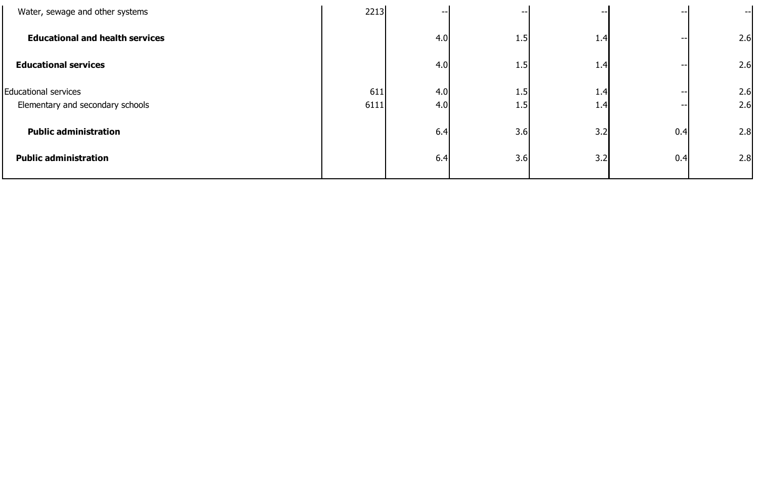| Water, sewage and other systems        | 2213 | $-$ | $\overline{\phantom{a}}$ | --  | $\overline{\phantom{a}}$ | $\overline{\phantom{m}}$ |
|----------------------------------------|------|-----|--------------------------|-----|--------------------------|--------------------------|
| <b>Educational and health services</b> |      | 4.0 | 1.5                      | 1.4 | $-$                      | 2.6                      |
| <b>Educational services</b>            |      | 4.0 | 1.5                      | 1.4 | $-$                      | 2.6                      |
| <b>Educational services</b>            | 611  | 4.0 | 1.5                      | 1.4 | $-$                      | 2.6                      |
| Elementary and secondary schools       | 6111 | 4.0 | 1.5                      | 1.4 | --                       | 2.6                      |
| <b>Public administration</b>           |      | 6.4 | 3.6                      | 3.2 | 0.4                      | 2.8                      |
| <b>Public administration</b>           |      | 6.4 | 3.6                      | 3.2 | 0.4                      | 2.8                      |